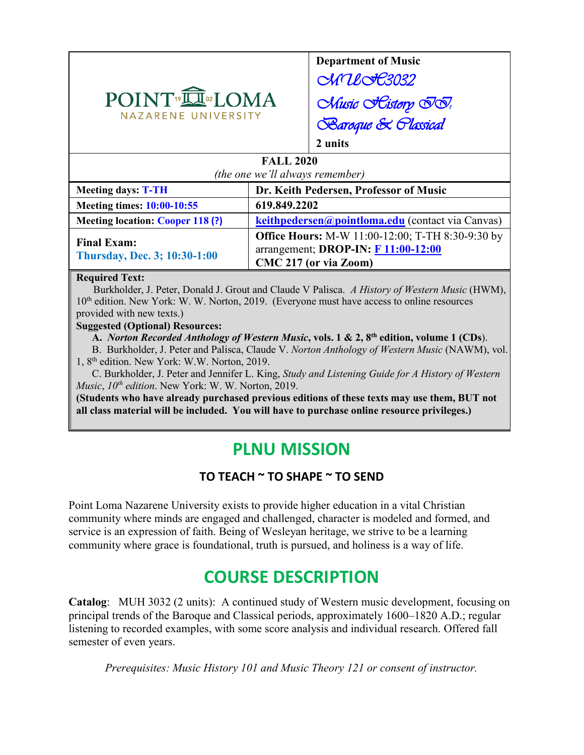

**Department of Music** ChnlotC3032 Chusic *Eistory II*: **Baroque & Plassical 2 units**

## **FALL 2020**

| (the one we'll always remember)                    |                                                                                                                         |  |
|----------------------------------------------------|-------------------------------------------------------------------------------------------------------------------------|--|
| <b>Meeting days: T-TH</b>                          | Dr. Keith Pedersen, Professor of Music                                                                                  |  |
| <b>Meeting times: 10:00-10:55</b>                  | 619.849.2202                                                                                                            |  |
| <b>Meeting location: Cooper 118 (?)</b>            | keithpedersen@pointloma.edu (contact via Canvas)                                                                        |  |
| <b>Final Exam:</b><br>Thursday, Dec. 3; 10:30-1:00 | <b>Office Hours:</b> M-W 11:00-12:00; T-TH 8:30-9:30 by<br>arrangement; DROP-IN: F 11:00-12:00<br>CMC 217 (or via Zoom) |  |

#### **Required Text:**

Burkholder, J. Peter, Donald J. Grout and Claude V Palisca. *A History of Western Music* (HWM), 10<sup>th</sup> edition. New York: W. W. Norton, 2019. (Everyone must have access to online resources provided with new texts.)

#### **Suggested (Optional) Resources:**

**A.** *Norton Recorded Anthology of Western Music***, vols. 1 & 2, 8th edition, volume 1 (CDs**). B. Burkholder, J. Peter and Palisca, Claude V. *Norton Anthology of Western Music* (NAWM), vol. 1, 8th edition. New York: W.W. Norton, 2019.

 C. Burkholder, J. Peter and Jennifer L. King, *Study and Listening Guide for A History of Western Music*, *10th edition*. New York: W. W. Norton, 2019.

**(Students who have already purchased previous editions of these texts may use them, BUT not all class material will be included. You will have to purchase online resource privileges.)**

# **PLNU MISSION**

# **TO TEACH ~ TO SHAPE ~ TO SEND**

Point Loma Nazarene University exists to provide higher education in a vital Christian community where minds are engaged and challenged, character is modeled and formed, and service is an expression of faith. Being of Wesleyan heritage, we strive to be a learning community where grace is foundational, truth is pursued, and holiness is a way of life.

# **COURSE DESCRIPTION**

**Catalog**: MUH 3032 (2 units): A continued study of Western music development, focusing on principal trends of the Baroque and Classical periods, approximately 1600–1820 A.D.; regular listening to recorded examples, with some score analysis and individual research. Offered fall semester of even years.

*Prerequisites: Music History 101 and Music Theory 121 or consent of instructor.*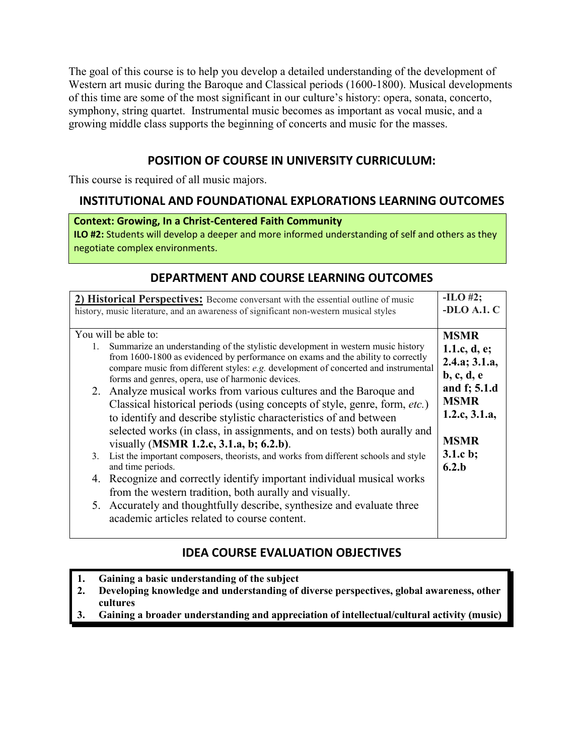The goal of this course is to help you develop a detailed understanding of the development of Western art music during the Baroque and Classical periods (1600-1800). Musical developments of this time are some of the most significant in our culture's history: opera, sonata, concerto, symphony, string quartet. Instrumental music becomes as important as vocal music, and a growing middle class supports the beginning of concerts and music for the masses.

# **POSITION OF COURSE IN UNIVERSITY CURRICULUM:**

This course is required of all music majors.

# **INSTITUTIONAL AND FOUNDATIONAL EXPLORATIONS LEARNING OUTCOMES**

#### **Context: Growing, In a Christ-Centered Faith Community**

**ILO #2:** Students will develop a deeper and more informed understanding of self and others as they negotiate complex environments.

# **DEPARTMENT AND COURSE LEARNING OUTCOMES**

| 2) <b>Historical Perspectives:</b> Become conversant with the essential outline of music<br>history, music literature, and an awareness of significant non-western musical styles                                                                                                                                                           | $-ILO$ #2;<br>-DLO A.1. C                                   |
|---------------------------------------------------------------------------------------------------------------------------------------------------------------------------------------------------------------------------------------------------------------------------------------------------------------------------------------------|-------------------------------------------------------------|
| You will be able to:                                                                                                                                                                                                                                                                                                                        | <b>MSMR</b>                                                 |
| Summarize an understanding of the stylistic development in western music history<br>from 1600-1800 as evidenced by performance on exams and the ability to correctly<br>compare music from different styles: e.g. development of concerted and instrumental<br>forms and genres, opera, use of harmonic devices.                            | 1.1.c, $d$ , $e$ ;<br>2.4.a; 3.1.a,<br>$b, c, d, e$         |
| 2. Analyze musical works from various cultures and the Baroque and<br>Classical historical periods (using concepts of style, genre, form, etc.)<br>to identify and describe stylistic characteristics of and between<br>selected works (in class, in assignments, and on tests) both aurally and<br>visually (MSMR 1.2.c, 3.1.a, b; 6.2.b). | and f; 5.1.d<br><b>MSMR</b><br>1.2.c, 3.1.a,<br><b>MSMR</b> |
| List the important composers, theorists, and works from different schools and style<br>3.<br>and time periods.                                                                                                                                                                                                                              | $3.1.c$ b;<br>6.2.b                                         |
| 4. Recognize and correctly identify important individual musical works<br>from the western tradition, both aurally and visually.                                                                                                                                                                                                            |                                                             |
| 5. Accurately and thoughtfully describe, synthesize and evaluate three<br>academic articles related to course content.                                                                                                                                                                                                                      |                                                             |

# **IDEA COURSE EVALUATION OBJECTIVES**

- **1. Gaining a basic understanding of the subject**
- **2. Developing knowledge and understanding of diverse perspectives, global awareness, other cultures**
- **3. Gaining a broader understanding and appreciation of intellectual/cultural activity (music)**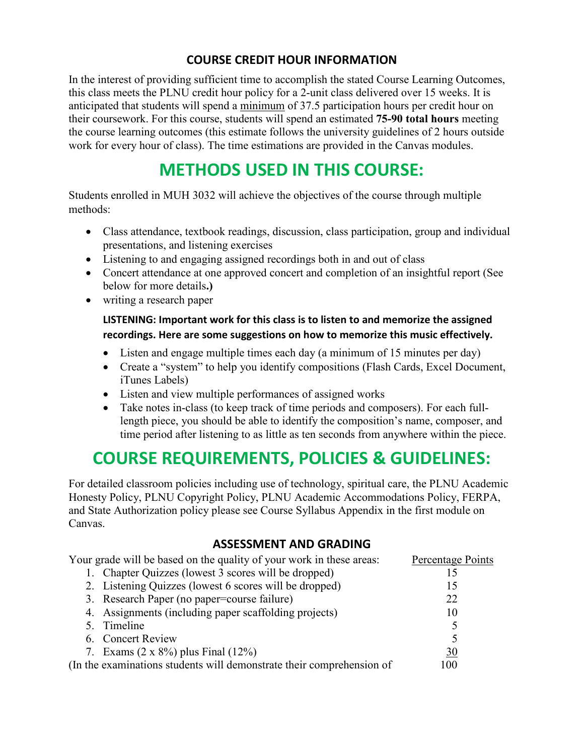# **COURSE CREDIT HOUR INFORMATION**

In the interest of providing sufficient time to accomplish the stated Course Learning Outcomes, this class meets the PLNU credit hour policy for a 2-unit class delivered over 15 weeks. It is anticipated that students will spend a minimum of 37.5 participation hours per credit hour on their coursework. For this course, students will spend an estimated **75-90 total hours** meeting the course learning outcomes (this estimate follows the university guidelines of 2 hours outside work for every hour of class). The time estimations are provided in the Canvas modules.

# **METHODS USED IN THIS COURSE:**

Students enrolled in MUH 3032 will achieve the objectives of the course through multiple methods:

- Class attendance, textbook readings, discussion, class participation, group and individual presentations, and listening exercises
- Listening to and engaging assigned recordings both in and out of class
- Concert attendance at one approved concert and completion of an insightful report (See below for more details**.)**
- writing a research paper

## **LISTENING: Important work for this class is to listen to and memorize the assigned recordings. Here are some suggestions on how to memorize this music effectively.**

- Listen and engage multiple times each day (a minimum of 15 minutes per day)
- Create a "system" to help you identify compositions (Flash Cards, Excel Document, iTunes Labels)
- Listen and view multiple performances of assigned works
- Take notes in-class (to keep track of time periods and composers). For each fulllength piece, you should be able to identify the composition's name, composer, and time period after listening to as little as ten seconds from anywhere within the piece.

# **COURSE REQUIREMENTS, POLICIES & GUIDELINES:**

For detailed classroom policies including use of technology, spiritual care, the PLNU Academic Honesty Policy, PLNU Copyright Policy, PLNU Academic Accommodations Policy, FERPA, and State Authorization policy please see Course Syllabus Appendix in the first module on Canvas.

# **ASSESSMENT AND GRADING**

| Your grade will be based on the quality of your work in these areas:  | Percentage Points |
|-----------------------------------------------------------------------|-------------------|
| 1. Chapter Quizzes (lowest 3 scores will be dropped)                  |                   |
| 2. Listening Quizzes (lowest 6 scores will be dropped)                | 15                |
| 3. Research Paper (no paper=course failure)                           | 22                |
| 4. Assignments (including paper scaffolding projects)                 | 10                |
| 5. Timeline                                                           |                   |
| 6. Concert Review                                                     |                   |
| 7. Exams $(2 \times 8\%)$ plus Final $(12\%)$                         | 30                |
| (In the examinations students will demonstrate their comprehension of | 100               |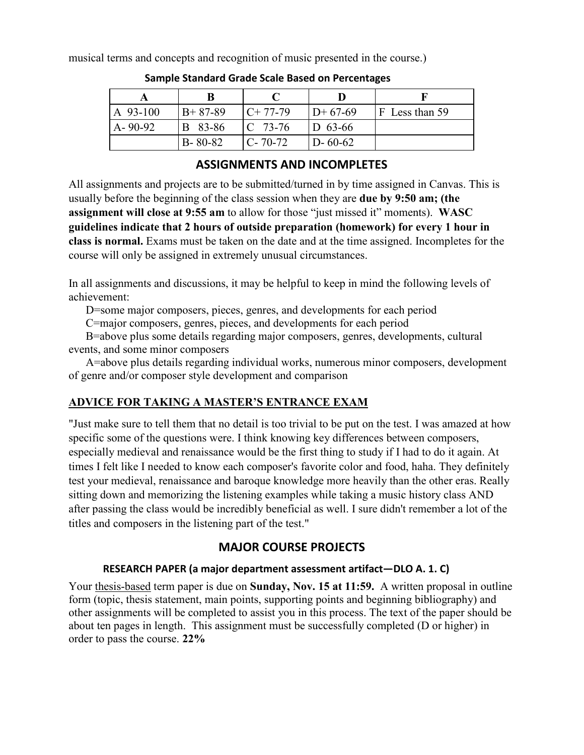musical terms and concepts and recognition of music presented in the course.)

| A 93-100      | $B+87-89$     | $C+77-79$          | $D+67-69$     | IF Less than 59 |
|---------------|---------------|--------------------|---------------|-----------------|
| $A - 90 - 92$ | B 83-86       | $\mathbb{C}$ 73-76 | $D_{63-66}$   |                 |
|               | $B - 80 - 82$ | $C - 70 - 72$      | $D - 60 - 62$ |                 |

**Sample Standard Grade Scale Based on Percentages**

# **ASSIGNMENTS AND INCOMPLETES**

All assignments and projects are to be submitted/turned in by time assigned in Canvas. This is usually before the beginning of the class session when they are **due by 9:50 am; (the assignment will close at 9:55 am** to allow for those "just missed it" moments). **WASC guidelines indicate that 2 hours of outside preparation (homework) for every 1 hour in class is normal.** Exams must be taken on the date and at the time assigned. Incompletes for the course will only be assigned in extremely unusual circumstances.

In all assignments and discussions, it may be helpful to keep in mind the following levels of achievement:

D=some major composers, pieces, genres, and developments for each period

C=major composers, genres, pieces, and developments for each period

B=above plus some details regarding major composers, genres, developments, cultural events, and some minor composers

A=above plus details regarding individual works, numerous minor composers, development of genre and/or composer style development and comparison

# **ADVICE FOR TAKING A MASTER'S ENTRANCE EXAM**

"Just make sure to tell them that no detail is too trivial to be put on the test. I was amazed at how specific some of the questions were. I think knowing key differences between composers, especially medieval and renaissance would be the first thing to study if I had to do it again. At times I felt like I needed to know each composer's favorite color and food, haha. They definitely test your medieval, renaissance and baroque knowledge more heavily than the other eras. Really sitting down and memorizing the listening examples while taking a music history class AND after passing the class would be incredibly beneficial as well. I sure didn't remember a lot of the titles and composers in the listening part of the test."

# **MAJOR COURSE PROJECTS**

### **RESEARCH PAPER (a major department assessment artifact—DLO A. 1. C)**

Your thesis-based term paper is due on **Sunday, Nov. 15 at 11:59.** A written proposal in outline form (topic, thesis statement, main points, supporting points and beginning bibliography) and other assignments will be completed to assist you in this process. The text of the paper should be about ten pages in length. This assignment must be successfully completed (D or higher) in order to pass the course. **22%**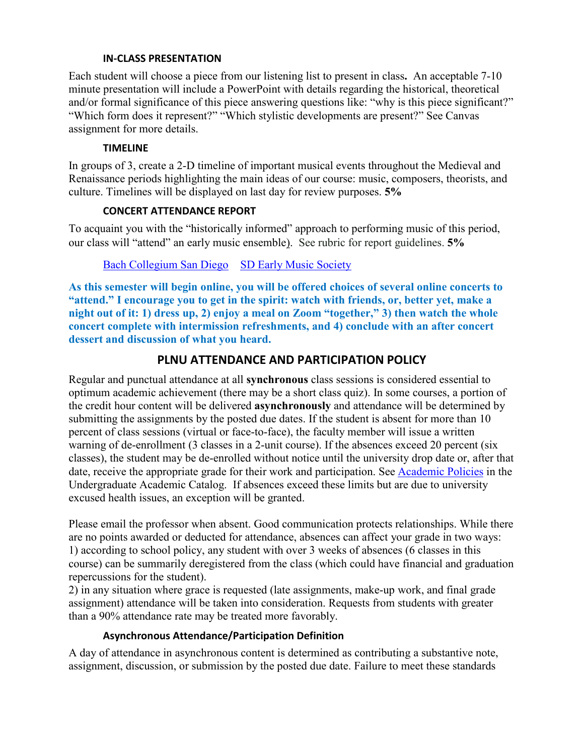#### **IN-CLASS PRESENTATION**

Each student will choose a piece from our listening list to present in class**.** An acceptable 7-10 minute presentation will include a PowerPoint with details regarding the historical, theoretical and/or formal significance of this piece answering questions like: "why is this piece significant?" "Which form does it represent?" "Which stylistic developments are present?" See Canvas assignment for more details.

#### **TIMELINE**

In groups of 3, create a 2-D timeline of important musical events throughout the Medieval and Renaissance periods highlighting the main ideas of our course: music, composers, theorists, and culture. Timelines will be displayed on last day for review purposes. **5%**

#### **CONCERT ATTENDANCE REPORT**

To acquaint you with the "historically informed" approach to performing music of this period, our class will "attend" an early music ensemble). See rubric for report guidelines. **5%**

### Bach Collegium San Diego [SD Early Music Society](http://www.sdems.org/)

**As this semester will begin online, you will be offered choices of several online concerts to "attend." I encourage you to get in the spirit: watch with friends, or, better yet, make a night out of it: 1) dress up, 2) enjoy a meal on Zoom "together," 3) then watch the whole concert complete with intermission refreshments, and 4) conclude with an after concert dessert and discussion of what you heard.**

## **PLNU ATTENDANCE AND PARTICIPATION POLICY**

Regular and punctual attendance at all **synchronous** class sessions is considered essential to optimum academic achievement (there may be a short class quiz). In some courses, a portion of the credit hour content will be delivered **asynchronously** and attendance will be determined by submitting the assignments by the posted due dates. If the student is absent for more than 10 percent of class sessions (virtual or face-to-face), the faculty member will issue a written warning of de-enrollment (3 classes in a 2-unit course). If the absences exceed 20 percent (six classes), the student may be de-enrolled without notice until the university drop date or, after that date, receive the appropriate grade for their work and participation. See [Academic Policies](https://catalog.pointloma.edu/content.php?catoid=46&navoid=2650#Class_Attendance) in the Undergraduate Academic Catalog. If absences exceed these limits but are due to university excused health issues, an exception will be granted.

Please email the professor when absent. Good communication protects relationships. While there are no points awarded or deducted for attendance, absences can affect your grade in two ways: 1) according to school policy, any student with over 3 weeks of absences (6 classes in this course) can be summarily deregistered from the class (which could have financial and graduation repercussions for the student).

2) in any situation where grace is requested (late assignments, make-up work, and final grade assignment) attendance will be taken into consideration. Requests from students with greater than a 90% attendance rate may be treated more favorably.

#### **Asynchronous Attendance/Participation Definition**

A day of attendance in asynchronous content is determined as contributing a substantive note, assignment, discussion, or submission by the posted due date. Failure to meet these standards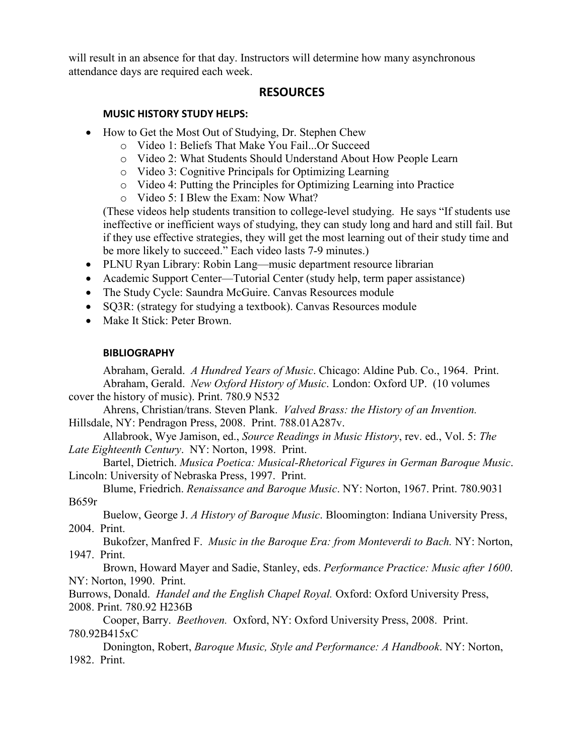will result in an absence for that day. Instructors will determine how many asynchronous attendance days are required each week.

### **RESOURCES**

#### **MUSIC HISTORY STUDY HELPS:**

- How to Get the Most Out of Studying, Dr. Stephen Chew
	- o Video 1: Beliefs That Make You Fail...Or Succeed
	- o Video 2: What Students Should Understand About How People Learn
	- o Video 3: Cognitive Principals for Optimizing Learning
	- o Video 4: Putting the Principles for Optimizing Learning into Practice
	- o Video 5: I Blew the Exam: Now What?

(These videos help students transition to college-level studying. He says "If students use ineffective or inefficient ways of studying, they can study long and hard and still fail. But if they use effective strategies, they will get the most learning out of their study time and be more likely to succeed." Each video lasts 7-9 minutes.)

- PLNU Ryan Library: Robin Lang—music department resource librarian
- Academic Support Center—Tutorial Center (study help, term paper assistance)
- The Study Cycle: Saundra McGuire. Canvas Resources module
- SQ3R: (strategy for studying a textbook). Canvas Resources module
- Make It Stick: Peter Brown.

#### **BIBLIOGRAPHY**

Abraham, Gerald. *A Hundred Years of Music*. Chicago: Aldine Pub. Co., 1964. Print. Abraham, Gerald. *New Oxford History of Music*. London: Oxford UP. (10 volumes cover the history of music). Print. 780.9 N532

Ahrens, Christian/trans. Steven Plank. *Valved Brass: the History of an Invention.* Hillsdale, NY: Pendragon Press, 2008. Print. 788.01A287v.

Allabrook, Wye Jamison, ed., *Source Readings in Music History*, rev. ed., Vol. 5: *The Late Eighteenth Century*. NY: Norton, 1998. Print.

Bartel, Dietrich. *Musica Poetica: Musical-Rhetorical Figures in German Baroque Music*. Lincoln: University of Nebraska Press, 1997. Print.

Blume, Friedrich. *Renaissance and Baroque Music*. NY: Norton, 1967. Print. 780.9031 B659r

Buelow, George J. *A History of Baroque Music*. Bloomington: Indiana University Press, 2004. Print.

Bukofzer, Manfred F. *Music in the Baroque Era: from Monteverdi to Bach.* NY: Norton, 1947. Print.

Brown, Howard Mayer and Sadie, Stanley, eds. *Performance Practice: Music after 1600*. NY: Norton, 1990. Print.

Burrows, Donald. *Handel and the English Chapel Royal.* Oxford: Oxford University Press, 2008. Print. 780.92 H236B

Cooper, Barry. *Beethoven.* Oxford, NY: Oxford University Press, 2008. Print. 780.92B415xC

Donington, Robert, *Baroque Music, Style and Performance: A Handbook*. NY: Norton, 1982. Print.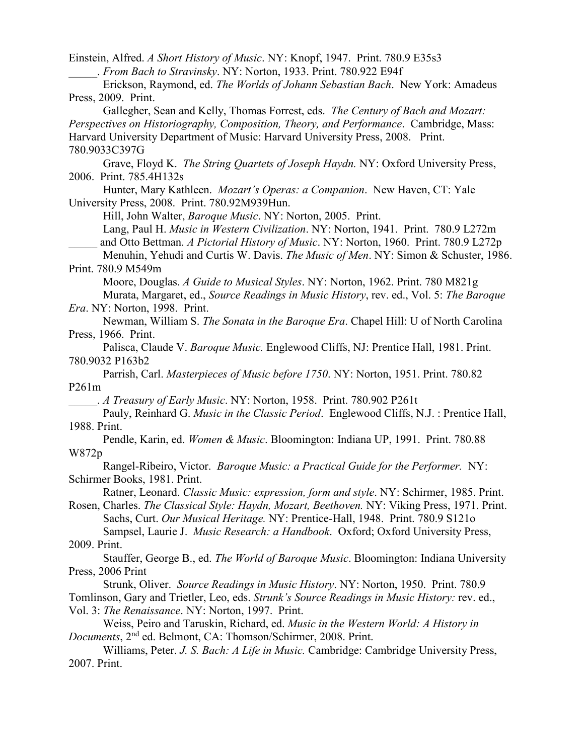Einstein, Alfred. *A Short History of Music*. NY: Knopf, 1947. Print. 780.9 E35s3 \_\_\_\_\_. *From Bach to Stravinsky*. NY: Norton, 1933. Print. 780.922 E94f

Erickson, Raymond, ed. *The Worlds of Johann Sebastian Bach*. New York: Amadeus Press, 2009. Print.

Gallegher, Sean and Kelly, Thomas Forrest, eds. *The Century of Bach and Mozart: Perspectives on Historiography, Composition, Theory, and Performance*. Cambridge, Mass: Harvard University Department of Music: Harvard University Press, 2008. Print. 780.9033C397G

Grave, Floyd K. *The String Quartets of Joseph Haydn.* NY: Oxford University Press, 2006. Print. 785.4H132s

Hunter, Mary Kathleen. *Mozart's Operas: a Companion*. New Haven, CT: Yale University Press, 2008. Print. 780.92M939Hun.

Hill, John Walter, *Baroque Music*. NY: Norton, 2005. Print.

Lang, Paul H. *Music in Western Civilization*. NY: Norton, 1941. Print. 780.9 L272m

\_\_\_\_\_ and Otto Bettman. *A Pictorial History of Music*. NY: Norton, 1960. Print. 780.9 L272p

Menuhin, Yehudi and Curtis W. Davis. *The Music of Men*. NY: Simon & Schuster, 1986. Print. 780.9 M549m

Moore, Douglas. *A Guide to Musical Styles*. NY: Norton, 1962. Print. 780 M821g Murata, Margaret, ed., *Source Readings in Music History*, rev. ed., Vol. 5: *The Baroque* 

*Era*. NY: Norton, 1998. Print.

Newman, William S. *The Sonata in the Baroque Era*. Chapel Hill: U of North Carolina Press, 1966. Print.

Palisca, Claude V. *Baroque Music.* Englewood Cliffs, NJ: Prentice Hall, 1981. Print. 780.9032 P163b2

Parrish, Carl. *Masterpieces of Music before 1750*. NY: Norton, 1951. Print. 780.82 P261m

\_\_\_\_\_. *A Treasury of Early Music*. NY: Norton, 1958. Print. 780.902 P261t

Pauly, Reinhard G. *Music in the Classic Period*. Englewood Cliffs, N.J. : Prentice Hall, 1988. Print.

Pendle, Karin, ed. *Women & Music*. Bloomington: Indiana UP, 1991. Print. 780.88 W872p

Rangel-Ribeiro, Victor. *Baroque Music: a Practical Guide for the Performer.* NY: Schirmer Books, 1981. Print.

Ratner, Leonard. *Classic Music: expression, form and style*. NY: Schirmer, 1985. Print. Rosen, Charles. *The Classical Style: Haydn, Mozart, Beethoven.* NY: Viking Press, 1971. Print.

Sachs, Curt. *Our Musical Heritage.* NY: Prentice-Hall, 1948. Print. 780.9 S121o

Sampsel, Laurie J. *Music Research: a Handbook*. Oxford; Oxford University Press, 2009. Print.

Stauffer, George B., ed. *The World of Baroque Music*. Bloomington: Indiana University Press, 2006 Print

Strunk, Oliver. *Source Readings in Music History*. NY: Norton, 1950. Print. 780.9 Tomlinson, Gary and Trietler, Leo, eds. *Strunk's Source Readings in Music History:* rev. ed., Vol. 3: *The Renaissance*. NY: Norton, 1997. Print.

Weiss, Peiro and Taruskin, Richard, ed. *Music in the Western World: A History in Documents*, 2nd ed. Belmont, CA: Thomson/Schirmer, 2008. Print.

Williams, Peter. *J. S. Bach: A Life in Music.* Cambridge: Cambridge University Press, 2007. Print.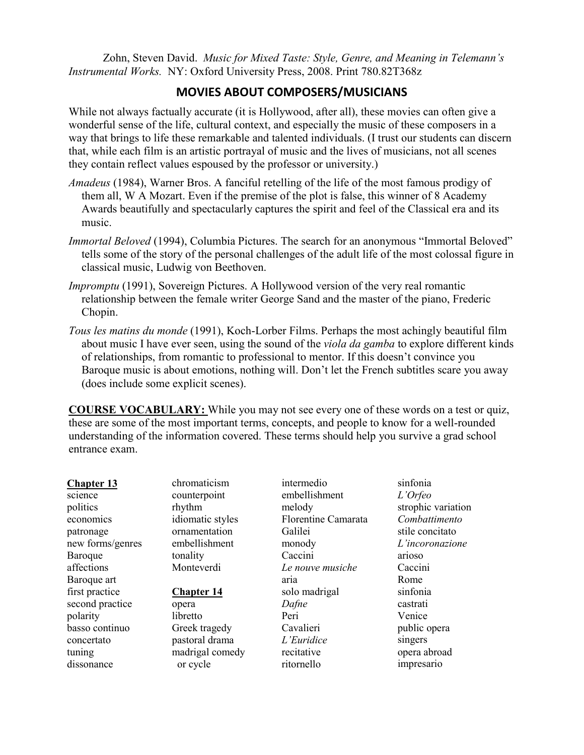Zohn, Steven David. *Music for Mixed Taste: Style, Genre, and Meaning in Telemann's Instrumental Works.* NY: Oxford University Press, 2008. Print 780.82T368z

# **MOVIES ABOUT COMPOSERS/MUSICIANS**

While not always factually accurate (it is Hollywood, after all), these movies can often give a wonderful sense of the life, cultural context, and especially the music of these composers in a way that brings to life these remarkable and talented individuals. (I trust our students can discern that, while each film is an artistic portrayal of music and the lives of musicians, not all scenes they contain reflect values espoused by the professor or university.)

- *Amadeus* (1984), Warner Bros. A fanciful retelling of the life of the most famous prodigy of them all, W A Mozart. Even if the premise of the plot is false, this winner of 8 Academy Awards beautifully and spectacularly captures the spirit and feel of the Classical era and its music.
- *Immortal Beloved* (1994), Columbia Pictures. The search for an anonymous "Immortal Beloved" tells some of the story of the personal challenges of the adult life of the most colossal figure in classical music, Ludwig von Beethoven.
- *Impromptu* (1991), Sovereign Pictures. A Hollywood version of the very real romantic relationship between the female writer George Sand and the master of the piano, Frederic Chopin.
- *Tous les matins du monde* (1991), Koch-Lorber Films. Perhaps the most achingly beautiful film about music I have ever seen, using the sound of the *viola da gamba* to explore different kinds of relationships, from romantic to professional to mentor. If this doesn't convince you Baroque music is about emotions, nothing will. Don't let the French subtitles scare you away (does include some explicit scenes).

**COURSE VOCABULARY:** While you may not see every one of these words on a test or quiz, these are some of the most important terms, concepts, and people to know for a well-rounded understanding of the information covered. These terms should help you survive a grad school entrance exam.

| <b>Chapter 13</b> | chromaticism      | intermedio          | sinfonia           |
|-------------------|-------------------|---------------------|--------------------|
| science           | counterpoint      | embellishment       | L'Orfeo            |
| politics          | rhythm            | melody              | strophic variation |
| economics         | idiomatic styles  | Florentine Camarata | Combattimento      |
| patronage         | ornamentation     | Galilei             | stile concitato    |
| new forms/genres  | embellishment     | monody              | L'incoronazione    |
| Baroque           | tonality          | Caccini             | arioso             |
| affections        | Monteverdi        | Le nouve musiche    | Caccini            |
| Baroque art       |                   | aria                | Rome               |
| first practice    | <b>Chapter 14</b> | solo madrigal       | sinfonia           |
| second practice   | opera             | Dafne               | castrati           |
| polarity          | libretto          | Peri                | Venice             |
| basso continuo    | Greek tragedy     | Cavalieri           | public opera       |
| concertato        | pastoral drama    | L'Euridice          | singers            |
| tuning            | madrigal comedy   | recitative          | opera abroad       |
| dissonance        | or cycle          | ritornello          | impresario         |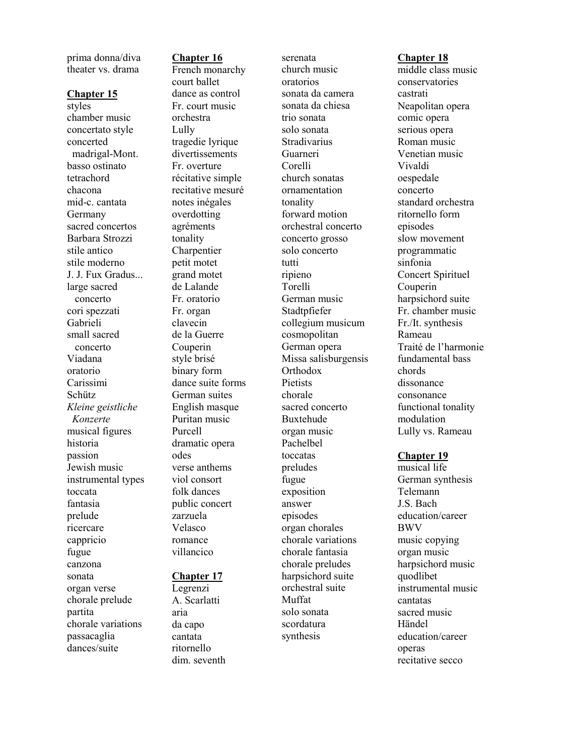prima donna/diva theater vs. drama

#### **Chapter 15**

styles chamber music concertato style concerted madrigal -Mont. basso ostinato tetrachord chacona mid -c. cantata Germany sacred concertos Barbara Strozzi stile antico stile moderno J. J. Fux Gradus... large sacred concerto cori spezzati Gabrieli small sacred concerto Viadana oratorio Carissimi Schütz *Kleine geistliche Konzerte* musical figures historia passion Jewish music instrumental types toccata fantasia prelude ricercare cappricio fugue canzona sonata organ verse chorale prelude partita chorale variations passacaglia dances/suite

**Chapter 16** French monarchy court ballet dance as control Fr. court music orchestra Lully tragedie lyrique divertissements Fr. overture récitative simple recitative mesuré notes inégales overdotting agréments tonality Charpentier petit motet grand motet

de Lalande Fr. oratorio Fr. organ clavecin de la Guerre Couperin style brisé binary form dance suite forms German suites English masque Puritan music Purcell dramatic opera odes verse anthems viol consort folk dances public concert zarzuela Velasco romance

#### **Chapter 17**

villancico

Legrenzi A. Scarlatti aria da capo cantata ritornello dim. seventh

serenata church music oratorios sonata da camera sonata da chiesa trio sonata solo sonata Stradivarius Guarneri Corelli church sonatas ornamentation tonality forward motion orchestral concerto concerto grosso solo concerto tutti ripieno Torelli German music Stadtpfiefer collegium musicum cosmopolitan German opera Missa salisburgensis **Orthodox Pietists** chorale sacred concerto Buxtehude organ music Pachelbel toccatas preludes fugue exposition answer episodes organ chorales chorale variations chorale fantasia chorale preludes harpsichord suite orchestral suite Muffat solo sonata scordatura synthesis

#### **Chapter 18**

middle class music conservatories castrati Neapolitan opera comic opera serious opera Roman music Venetian music Vivaldi oespedale concerto standard orchestra ritornello form episodes slow movement programmatic sinfonia Concert Spirituel Couperin harpsichord suite Fr. chamber music Fr./It. synthesis Rameau Traité de l'harmonie fundamental bass chords dissonance consonance functional tonality modulation Lully vs. Rameau **Chapter 19** musical life

German synthesis Telemann J.S. Bach education/career BWV music copying organ music harpsichord music quodlibet instrumental music cantatas sacred music Händel education/career operas recitative secco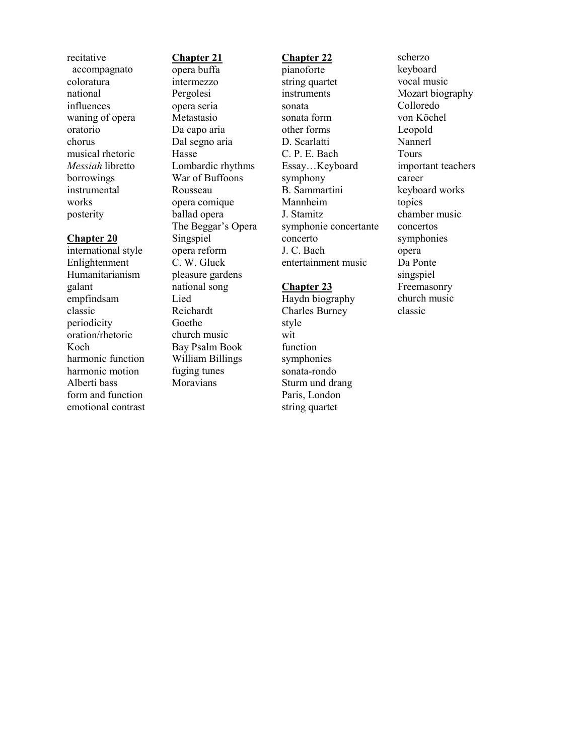recitative accompagnato coloratura national influences waning of opera oratorio chorus musical rhetoric *Messiah* libretto borrowings instrumental works posterity

#### **Chapter 20**

international style Enlightenment Humanitarianism galant empfindsam classic periodicity oration/rhetoric Koch harmonic function harmonic motion Alberti bass form and function emotional contrast

#### **Chapter 21**

opera buffa intermezzo Pergolesi opera seria Metastasio Da capo aria Dal segno aria Hasse Lombardic rhythms War of Buffoons Rousseau opera comique ballad opera The Beggar's Opera Singspiel opera reform C. W. Gluck pleasure gardens national song Lied Reichardt Goethe church music Bay Psalm Book William Billings fuging tunes Moravians

#### **Chapter 22**

pianoforte string quartet instruments sonata sonata form other forms D. Scarlatti C. P. E. Bach Essay…Keyboard symphony B. Sammartini Mannheim J. Stamitz symphonie concertante concerto J. C. Bach entertainment music

#### **Chapter 23**

Haydn biography Charles Burney style wit function symphonies sonata-rondo Sturm und drang Paris, London string quartet

scherzo keyboard vocal music Mozart biography Colloredo von Köchel Leopold Nannerl Tours important teachers career keyboard works topics chamber music concertos symphonies opera Da Ponte singspiel Freemasonry church music

classic